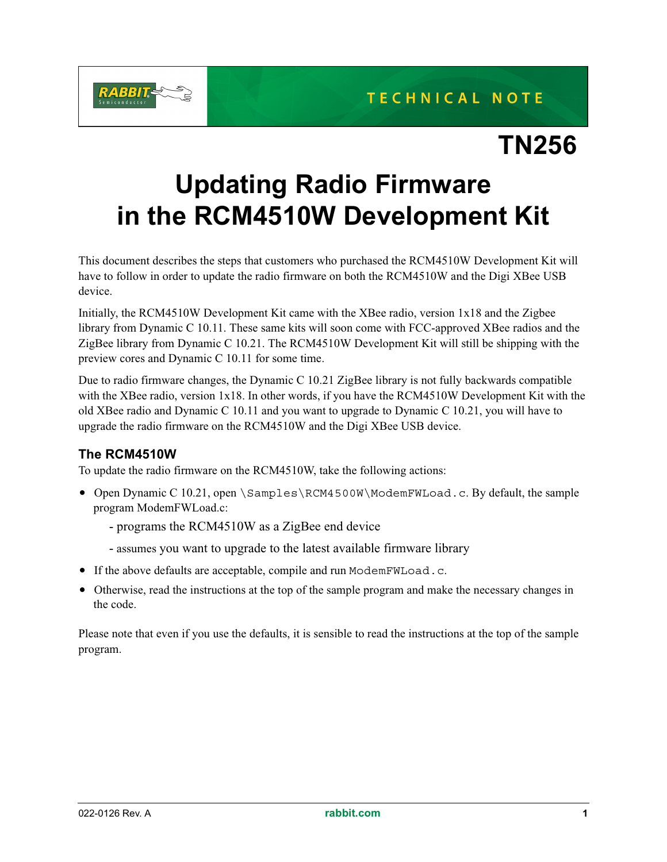

## **TN256**

## **Updating Radio Firmware in the RCM4510W Development Kit**

This document describes the steps that customers who purchased the RCM4510W Development Kit will have to follow in order to update the radio firmware on both the RCM4510W and the Digi XBee USB device.

Initially, the RCM4510W Development Kit came with the XBee radio, version 1x18 and the Zigbee library from Dynamic C 10.11. These same kits will soon come with FCC-approved XBee radios and the ZigBee library from Dynamic C 10.21. The RCM4510W Development Kit will still be shipping with the preview cores and Dynamic C 10.11 for some time.

Due to radio firmware changes, the Dynamic C 10.21 ZigBee library is not fully backwards compatible with the XBee radio, version 1x18. In other words, if you have the RCM4510W Development Kit with the old XBee radio and Dynamic C 10.11 and you want to upgrade to Dynamic C 10.21, you will have to upgrade the radio firmware on the RCM4510W and the Digi XBee USB device.

## **The RCM4510W**

To update the radio firmware on the RCM4510W, take the following actions:

- Open Dynamic C 10.21, open \Samples\RCM4500W\ModemFWLoad.c. By default, the sample program ModemFWLoad.c:
	- programs the RCM4510W as a ZigBee end device
	- assumes you want to upgrade to the latest available firmware library
- If the above defaults are acceptable, compile and run ModemFWLoad.c.
- Otherwise, read the instructions at the top of the sample program and make the necessary changes in the code.

Please note that even if you use the defaults, it is sensible to read the instructions at the top of the sample program.